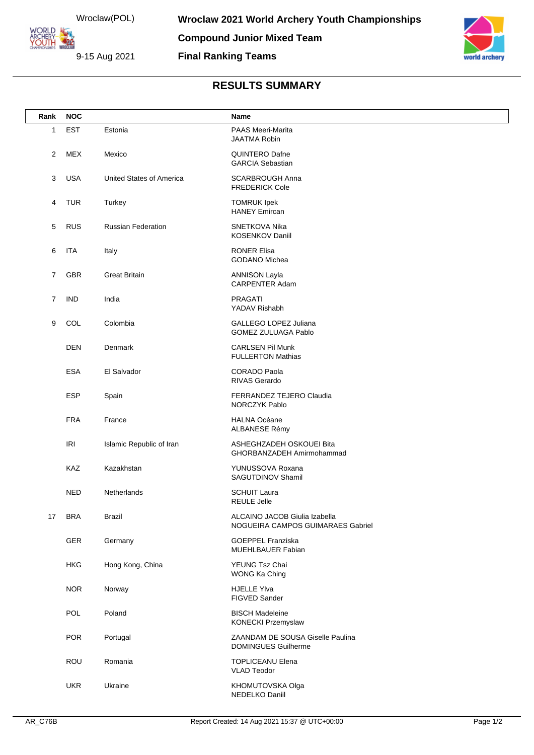Wroclaw(POL) ARCHERY<br>YOUTH 422 9-15 Aug 2021

**ORLD** 



## **RESULTS SUMMARY**

| Rank           | <b>NOC</b> |                                                                      | Name                                                               |  |
|----------------|------------|----------------------------------------------------------------------|--------------------------------------------------------------------|--|
| 1              | <b>EST</b> | Estonia                                                              | PAAS Meeri-Marita<br><b>JAATMA Robin</b>                           |  |
| 2              | <b>MEX</b> | Mexico                                                               | QUINTERO Dafne<br><b>GARCIA Sebastian</b>                          |  |
| 3              | <b>USA</b> | United States of America                                             | <b>SCARBROUGH Anna</b><br><b>FREDERICK Cole</b>                    |  |
| 4              | <b>TUR</b> | Turkey<br><b>TOMRUK Ipek</b><br><b>HANEY Emircan</b>                 |                                                                    |  |
| 5              | <b>RUS</b> | <b>Russian Federation</b><br>SNETKOVA Nika<br><b>KOSENKOV Daniil</b> |                                                                    |  |
| 6              | <b>ITA</b> | Italy                                                                | <b>RONER Elisa</b><br><b>GODANO Michea</b>                         |  |
| $\overline{7}$ | GBR        | <b>Great Britain</b>                                                 | <b>ANNISON Layla</b><br><b>CARPENTER Adam</b>                      |  |
| 7              | <b>IND</b> | India                                                                | <b>PRAGATI</b><br>YADAV Rishabh                                    |  |
| 9              | COL        | Colombia                                                             | GALLEGO LOPEZ Juliana<br><b>GOMEZ ZULUAGA Pablo</b>                |  |
|                | <b>DEN</b> | Denmark                                                              | <b>CARLSEN Pil Munk</b><br><b>FULLERTON Mathias</b>                |  |
|                | <b>ESA</b> | El Salvador                                                          | <b>CORADO Paola</b><br>RIVAS Gerardo                               |  |
|                | <b>ESP</b> | Spain                                                                | FERRANDEZ TEJERO Claudia<br>NORCZYK Pablo                          |  |
|                | <b>FRA</b> | France                                                               | <b>HALNA Océane</b><br>ALBANESE Rémy                               |  |
|                | <b>IRI</b> | Islamic Republic of Iran                                             | ASHEGHZADEH OSKOUEI Bita<br>GHORBANZADEH Amirmohammad              |  |
|                | KAZ        | Kazakhstan                                                           | YUNUSSOVA Roxana<br>SAGUTDINOV Shamil                              |  |
|                | <b>NED</b> | Netherlands                                                          | <b>SCHUIT Laura</b><br><b>REULE Jelle</b>                          |  |
| 17             | <b>BRA</b> | <b>Brazil</b>                                                        | ALCAINO JACOB Giulia Izabella<br>NOGUEIRA CAMPOS GUIMARAES Gabriel |  |
|                | GER        | Germany                                                              | <b>GOEPPEL Franziska</b><br>MUEHLBAUER Fabian                      |  |
|                | <b>HKG</b> | Hong Kong, China                                                     | YEUNG Tsz Chai<br>WONG Ka Ching                                    |  |
|                | <b>NOR</b> | Norway                                                               | <b>HJELLE Ylva</b><br>FIGVED Sander                                |  |
|                | POL        | Poland                                                               | <b>BISCH Madeleine</b><br>KONECKI Przemyslaw                       |  |
|                | <b>POR</b> | Portugal                                                             | ZAANDAM DE SOUSA Giselle Paulina<br><b>DOMINGUES Guilherme</b>     |  |
|                | ROU        | Romania                                                              | <b>TOPLICEANU Elena</b><br><b>VLAD Teodor</b>                      |  |
|                | <b>UKR</b> | Ukraine                                                              | KHOMUTOVSKA Olga<br>NEDELKO Daniil                                 |  |